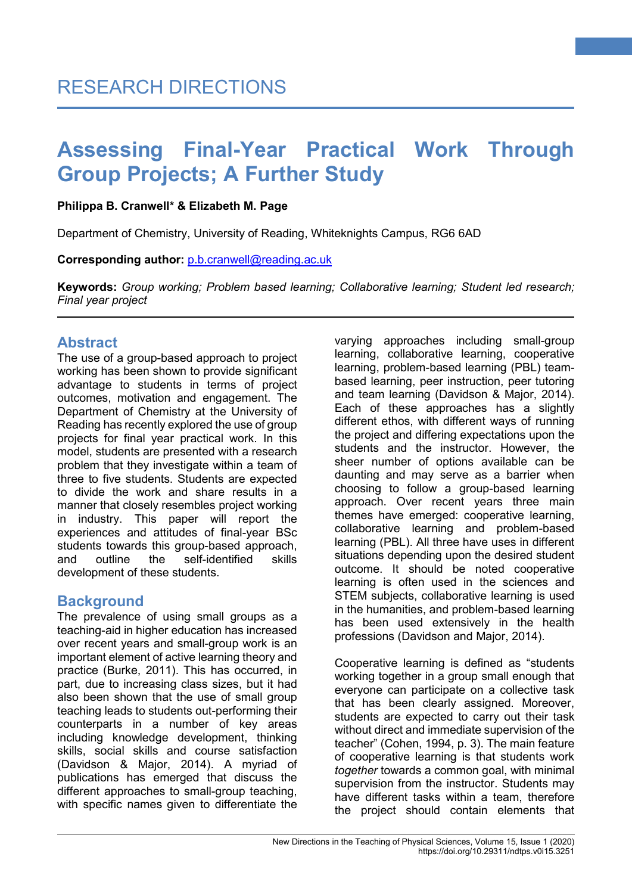### **Philippa B. Cranwell\* & Elizabeth M. Page**

Department of Chemistry, University of Reading, Whiteknights Campus, RG6 6AD

**Corresponding author:** [p.b.cranwell@reading.ac.uk](mailto:p.b.cranwell@reading.ac.uk)

**Keywords:** *Group working; Problem based learning; Collaborative learning; Student led research; Final year project*

### **Abstract**

The use of a group-based approach to project working has been shown to provide significant advantage to students in terms of project outcomes, motivation and engagement. The Department of Chemistry at the University of Reading has recently explored the use of group projects for final year practical work. In this model, students are presented with a research problem that they investigate within a team of three to five students. Students are expected to divide the work and share results in a manner that closely resembles project working in industry. This paper will report the experiences and attitudes of final-year BSc students towards this group-based approach, and outline the self-identified skills development of these students.

## **Background**

The prevalence of using small groups as a teaching-aid in higher education has increased over recent years and small-group work is an important element of active learning theory and practice (Burke, 2011). This has occurred, in part, due to increasing class sizes, but it had also been shown that the use of small group teaching leads to students out-performing their counterparts in a number of key areas including knowledge development, thinking skills, social skills and course satisfaction (Davidson & Major, 2014). A myriad of publications has emerged that discuss the different approaches to small-group teaching, with specific names given to differentiate the varying approaches including small-group learning, collaborative learning, cooperative learning, problem-based learning (PBL) teambased learning, peer instruction, peer tutoring and team learning (Davidson & Major, 2014). Each of these approaches has a slightly different ethos, with different ways of running the project and differing expectations upon the students and the instructor. However, the sheer number of options available can be daunting and may serve as a barrier when choosing to follow a group-based learning approach. Over recent years three main themes have emerged: cooperative learning, collaborative learning and problem-based learning (PBL). All three have uses in different situations depending upon the desired student outcome. It should be noted cooperative learning is often used in the sciences and STEM subjects, collaborative learning is used in the humanities, and problem-based learning has been used extensively in the health professions (Davidson and Major, 2014).

**1**

Cooperative learning is defined as "students working together in a group small enough that everyone can participate on a collective task that has been clearly assigned. Moreover, students are expected to carry out their task without direct and immediate supervision of the teacher" (Cohen, 1994, p. 3). The main feature of cooperative learning is that students work *together* towards a common goal, with minimal supervision from the instructor. Students may have different tasks within a team, therefore the project should contain elements that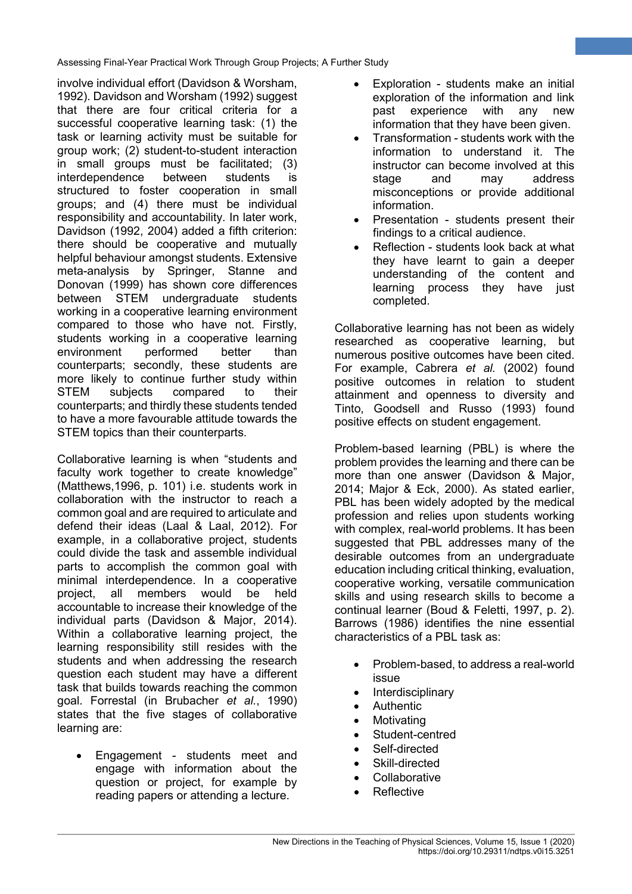involve individual effort (Davidson & Worsham, 1992). Davidson and Worsham (1992) suggest that there are four critical criteria for a successful cooperative learning task: (1) the task or learning activity must be suitable for group work; (2) student-to-student interaction in small groups must be facilitated; (3) interdependence between students is structured to foster cooperation in small groups; and (4) there must be individual responsibility and accountability. In later work, Davidson (1992, 2004) added a fifth criterion: there should be cooperative and mutually helpful behaviour amongst students. Extensive meta-analysis by Springer, Stanne and Donovan (1999) has shown core differences between STEM undergraduate students working in a cooperative learning environment compared to those who have not. Firstly, students working in a cooperative learning environment performed better than counterparts; secondly, these students are more likely to continue further study within STEM subjects compared to their counterparts; and thirdly these students tended to have a more favourable attitude towards the STEM topics than their counterparts.

Collaborative learning is when "students and faculty work together to create knowledge" (Matthews,1996, p. 101) i.e. students work in collaboration with the instructor to reach a common goal and are required to articulate and defend their ideas (Laal & Laal, 2012). For example, in a collaborative project, students could divide the task and assemble individual parts to accomplish the common goal with minimal interdependence. In a cooperative project, all members would be held accountable to increase their knowledge of the individual parts (Davidson & Major, 2014). Within a collaborative learning project, the learning responsibility still resides with the students and when addressing the research question each student may have a different task that builds towards reaching the common goal. Forrestal (in Brubacher *et al.*, 1990) states that the five stages of collaborative learning are:

• Engagement - students meet and engage with information about the question or project, for example by reading papers or attending a lecture.

Exploration - students make an initial exploration of the information and link past experience with any new information that they have been given.

**2**

- Transformation students work with the information to understand it. The instructor can become involved at this stage and may address misconceptions or provide additional information.
- Presentation students present their findings to a critical audience.
- Reflection students look back at what they have learnt to gain a deeper understanding of the content and learning process they have just completed.

Collaborative learning has not been as widely researched as cooperative learning, but numerous positive outcomes have been cited. For example, Cabrera *et al.* (2002) found positive outcomes in relation to student attainment and openness to diversity and Tinto, Goodsell and Russo (1993) found positive effects on student engagement.

Problem-based learning (PBL) is where the problem provides the learning and there can be more than one answer (Davidson & Major, 2014; Major & Eck, 2000). As stated earlier, PBL has been widely adopted by the medical profession and relies upon students working with complex, real-world problems. It has been suggested that PBL addresses many of the desirable outcomes from an undergraduate education including critical thinking, evaluation, cooperative working, versatile communication skills and using research skills to become a continual learner (Boud & Feletti, 1997, p. 2). Barrows (1986) identifies the nine essential characteristics of a PBL task as:

- Problem-based, to address a real-world issue
- Interdisciplinary
- Authentic
- Motivating
- Student-centred
- Self-directed
- Skill-directed
- **Collaborative**
- **Reflective**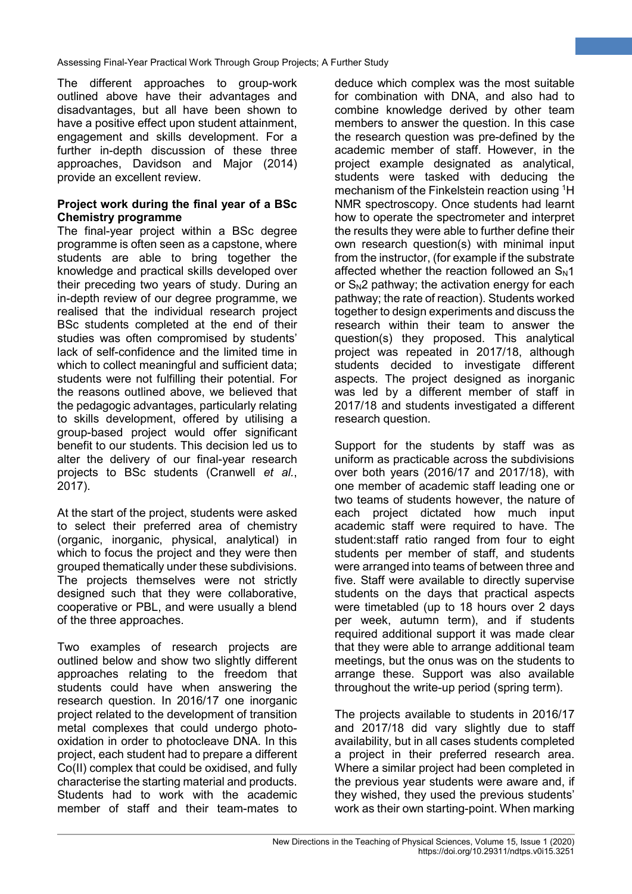The different approaches to group-work outlined above have their advantages and disadvantages, but all have been shown to have a positive effect upon student attainment, engagement and skills development. For a further in-depth discussion of these three approaches, Davidson and Major (2014) provide an excellent review.

#### **Project work during the final year of a BSc Chemistry programme**

The final-year project within a BSc degree programme is often seen as a capstone, where students are able to bring together the knowledge and practical skills developed over their preceding two years of study. During an in-depth review of our degree programme, we realised that the individual research project BSc students completed at the end of their studies was often compromised by students' lack of self-confidence and the limited time in which to collect meaningful and sufficient data; students were not fulfilling their potential. For the reasons outlined above, we believed that the pedagogic advantages, particularly relating to skills development, offered by utilising a group-based project would offer significant benefit to our students. This decision led us to alter the delivery of our final-year research projects to BSc students (Cranwell *et al.*, 2017).

At the start of the project, students were asked to select their preferred area of chemistry (organic, inorganic, physical, analytical) in which to focus the project and they were then grouped thematically under these subdivisions. The projects themselves were not strictly designed such that they were collaborative, cooperative or PBL, and were usually a blend of the three approaches.

Two examples of research projects are outlined below and show two slightly different approaches relating to the freedom that students could have when answering the research question. In 2016/17 one inorganic project related to the development of transition metal complexes that could undergo photooxidation in order to photocleave DNA. In this project, each student had to prepare a different Co(II) complex that could be oxidised, and fully characterise the starting material and products. Students had to work with the academic member of staff and their team-mates to

deduce which complex was the most suitable for combination with DNA, and also had to combine knowledge derived by other team members to answer the question. In this case the research question was pre-defined by the academic member of staff. However, in the project example designated as analytical, students were tasked with deducing the mechanism of the Finkelstein reaction using <sup>1</sup>H NMR spectroscopy. Once students had learnt how to operate the spectrometer and interpret the results they were able to further define their own research question(s) with minimal input from the instructor, (for example if the substrate affected whether the reaction followed an  $S_N1$ or  $S_N$ 2 pathway; the activation energy for each pathway; the rate of reaction). Students worked together to design experiments and discuss the research within their team to answer the question(s) they proposed. This analytical project was repeated in 2017/18, although students decided to investigate different aspects. The project designed as inorganic was led by a different member of staff in 2017/18 and students investigated a different research question.

**3**

Support for the students by staff was as uniform as practicable across the subdivisions over both years (2016/17 and 2017/18), with one member of academic staff leading one or two teams of students however, the nature of each project dictated how much input academic staff were required to have. The student:staff ratio ranged from four to eight students per member of staff, and students were arranged into teams of between three and five. Staff were available to directly supervise students on the days that practical aspects were timetabled (up to 18 hours over 2 days per week, autumn term), and if students required additional support it was made clear that they were able to arrange additional team meetings, but the onus was on the students to arrange these. Support was also available throughout the write-up period (spring term).

The projects available to students in 2016/17 and 2017/18 did vary slightly due to staff availability, but in all cases students completed a project in their preferred research area. Where a similar project had been completed in the previous year students were aware and, if they wished, they used the previous students' work as their own starting-point. When marking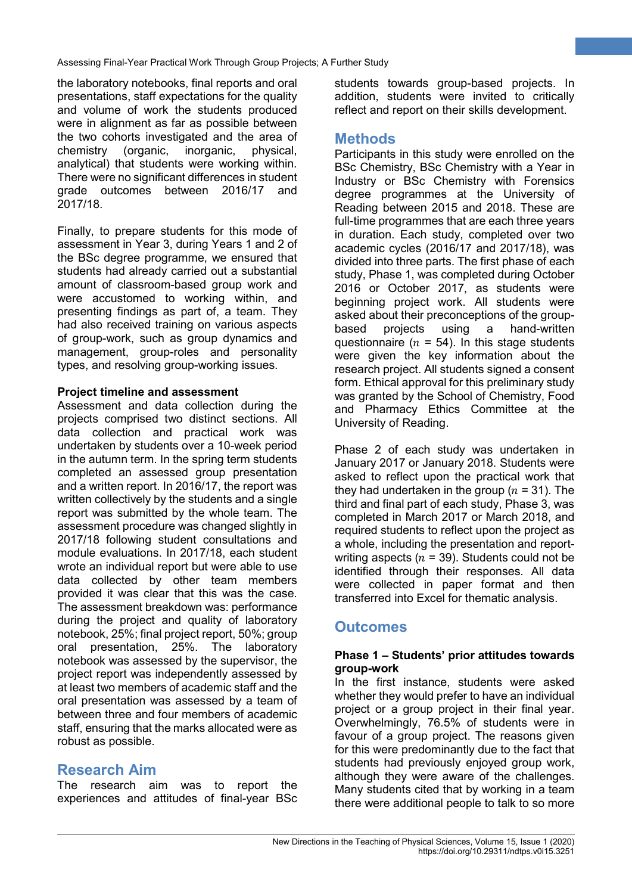the laboratory notebooks, final reports and oral presentations, staff expectations for the quality and volume of work the students produced were in alignment as far as possible between the two cohorts investigated and the area of chemistry (organic, inorganic, physical, analytical) that students were working within. There were no significant differences in student grade outcomes between 2016/17 and 2017/18.

Finally, to prepare students for this mode of assessment in Year 3, during Years 1 and 2 of the BSc degree programme, we ensured that students had already carried out a substantial amount of classroom-based group work and were accustomed to working within, and presenting findings as part of, a team. They had also received training on various aspects of group-work, such as group dynamics and management, group-roles and personality types, and resolving group-working issues.

### **Project timeline and assessment**

Assessment and data collection during the projects comprised two distinct sections. All data collection and practical work was undertaken by students over a 10-week period in the autumn term. In the spring term students completed an assessed group presentation and a written report. In 2016/17, the report was written collectively by the students and a single report was submitted by the whole team. The assessment procedure was changed slightly in 2017/18 following student consultations and module evaluations. In 2017/18, each student wrote an individual report but were able to use data collected by other team members provided it was clear that this was the case. The assessment breakdown was: performance during the project and quality of laboratory notebook, 25%; final project report, 50%; group oral presentation, 25%. The laboratory notebook was assessed by the supervisor, the project report was independently assessed by at least two members of academic staff and the oral presentation was assessed by a team of between three and four members of academic staff, ensuring that the marks allocated were as robust as possible.

### **Research Aim**

The research aim was to report the experiences and attitudes of final-year BSc students towards group-based projects. In addition, students were invited to critically reflect and report on their skills development.

**4**

## **Methods**

Participants in this study were enrolled on the BSc Chemistry, BSc Chemistry with a Year in Industry or BSc Chemistry with Forensics degree programmes at the University of Reading between 2015 and 2018. These are full-time programmes that are each three years in duration. Each study, completed over two academic cycles (2016/17 and 2017/18), was divided into three parts. The first phase of each study, Phase 1, was completed during October 2016 or October 2017, as students were beginning project work. All students were asked about their preconceptions of the groupbased projects using a hand-written questionnaire ( $n = 54$ ). In this stage students were given the key information about the research project. All students signed a consent form. Ethical approval for this preliminary study was granted by the School of Chemistry, Food and Pharmacy Ethics Committee at the University of Reading.

Phase 2 of each study was undertaken in January 2017 or January 2018. Students were asked to reflect upon the practical work that they had undertaken in the group ( $n = 31$ ). The third and final part of each study, Phase 3, was completed in March 2017 or March 2018, and required students to reflect upon the project as a whole, including the presentation and reportwriting aspects ( $n = 39$ ). Students could not be identified through their responses. All data were collected in paper format and then transferred into Excel for thematic analysis.

# **Outcomes**

#### **Phase 1 – Students' prior attitudes towards group-work**

In the first instance, students were asked whether they would prefer to have an individual project or a group project in their final year. Overwhelmingly, 76.5% of students were in favour of a group project. The reasons given for this were predominantly due to the fact that students had previously enjoyed group work, although they were aware of the challenges. Many students cited that by working in a team there were additional people to talk to so more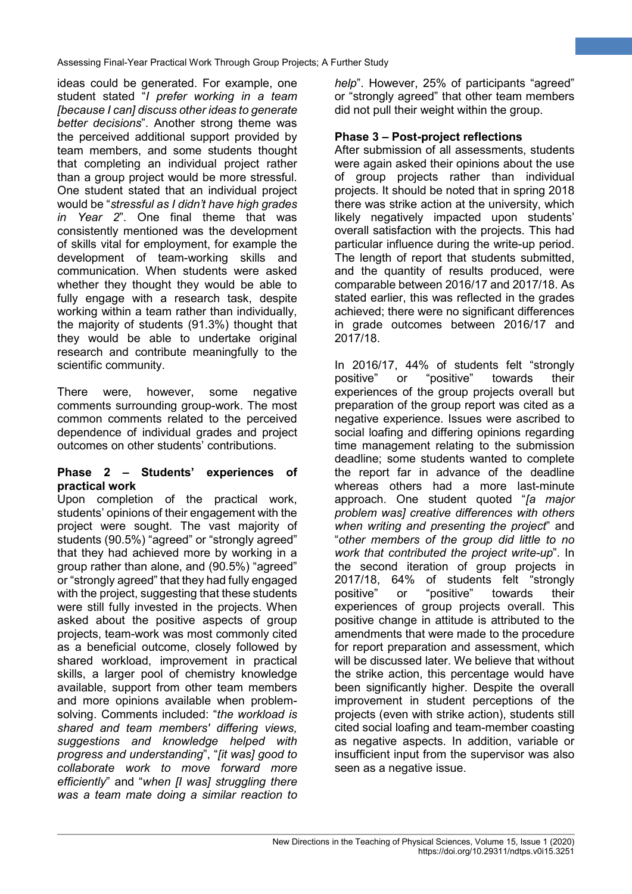ideas could be generated. For example, one student stated "*I prefer working in a team [because I can] discuss other ideas to generate better decisions*". Another strong theme was the perceived additional support provided by team members, and some students thought that completing an individual project rather than a group project would be more stressful. One student stated that an individual project would be "*stressful as I didn't have high grades in Year 2*". One final theme that was consistently mentioned was the development of skills vital for employment, for example the development of team-working skills and communication. When students were asked whether they thought they would be able to fully engage with a research task, despite working within a team rather than individually, the majority of students (91.3%) thought that they would be able to undertake original research and contribute meaningfully to the scientific community.

There were, however, some negative comments surrounding group-work. The most common comments related to the perceived dependence of individual grades and project outcomes on other students' contributions.

#### **Phase 2 – Students' experiences of practical work**

Upon completion of the practical work, students' opinions of their engagement with the project were sought. The vast majority of students (90.5%) "agreed" or "strongly agreed" that they had achieved more by working in a group rather than alone, and (90.5%) "agreed" or "strongly agreed" that they had fully engaged with the project, suggesting that these students were still fully invested in the projects. When asked about the positive aspects of group projects, team-work was most commonly cited as a beneficial outcome, closely followed by shared workload, improvement in practical skills, a larger pool of chemistry knowledge available, support from other team members and more opinions available when problemsolving. Comments included: "*the workload is shared and team members' differing views, suggestions and knowledge helped with progress and understanding*", "*[it was] good to collaborate work to move forward more efficiently*" and "*when [I was] struggling there was a team mate doing a similar reaction to* 

*help*". However, 25% of participants "agreed" or "strongly agreed" that other team members did not pull their weight within the group.

**5**

### **Phase 3 – Post-project reflections**

After submission of all assessments, students were again asked their opinions about the use of group projects rather than individual projects. It should be noted that in spring 2018 there was strike action at the university, which likely negatively impacted upon students' overall satisfaction with the projects. This had particular influence during the write-up period. The length of report that students submitted, and the quantity of results produced, were comparable between 2016/17 and 2017/18. As stated earlier, this was reflected in the grades achieved; there were no significant differences in grade outcomes between 2016/17 and 2017/18.

In 2016/17, 44% of students felt "strongly positive" or "positive" towards their experiences of the group projects overall but preparation of the group report was cited as a negative experience. Issues were ascribed to social loafing and differing opinions regarding time management relating to the submission deadline; some students wanted to complete the report far in advance of the deadline whereas others had a more last-minute approach. One student quoted "*[a major problem was] creative differences with others when writing and presenting the project*" and "*other members of the group did little to no work that contributed the project write-up*". In the second iteration of group projects in 2017/18, 64% of students felt "strongly positive" or "positive" towards their experiences of group projects overall. This positive change in attitude is attributed to the amendments that were made to the procedure for report preparation and assessment, which will be discussed later. We believe that without the strike action, this percentage would have been significantly higher. Despite the overall improvement in student perceptions of the projects (even with strike action), students still cited social loafing and team-member coasting as negative aspects. In addition, variable or insufficient input from the supervisor was also seen as a negative issue.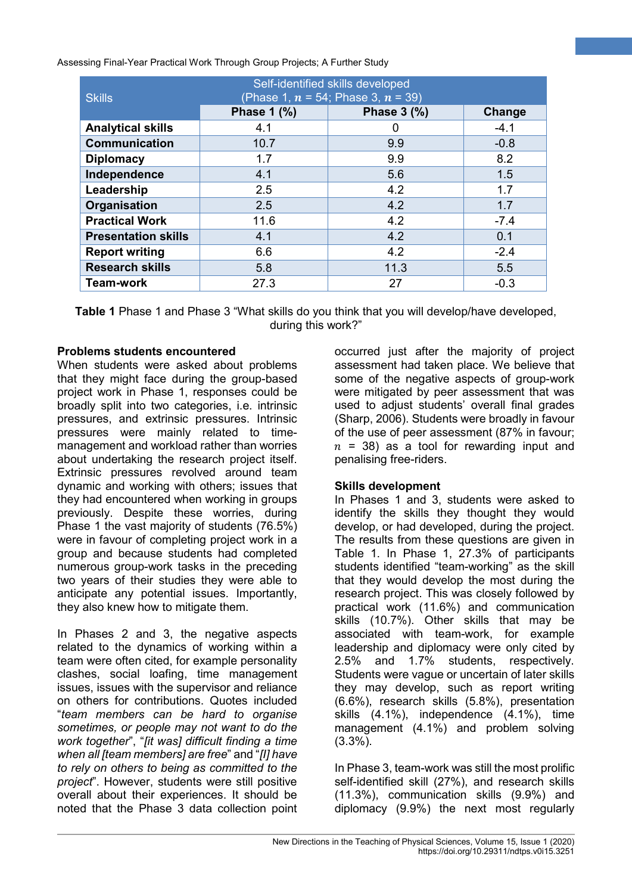| <b>Skills</b>              | Self-identified skills developed<br>(Phase 1, $n = 54$ ; Phase 3, $n = 39$ ) |                         |        |
|----------------------------|------------------------------------------------------------------------------|-------------------------|--------|
|                            | Phase 1 (%)                                                                  | Phase $3$ $\frac{9}{6}$ | Change |
| <b>Analytical skills</b>   | 4.1                                                                          | 0                       | $-4.1$ |
| <b>Communication</b>       | 10.7                                                                         | 9.9                     | $-0.8$ |
| <b>Diplomacy</b>           | 1.7                                                                          | 9.9                     | 8.2    |
| Independence               | 4.1                                                                          | 5.6                     | 1.5    |
| Leadership                 | 2.5                                                                          | 4.2                     | 1.7    |
| Organisation               | 2.5                                                                          | 4.2                     | 1.7    |
| <b>Practical Work</b>      | 11.6                                                                         | 4.2                     | $-7.4$ |
| <b>Presentation skills</b> | 4.1                                                                          | 4.2                     | 0.1    |
| <b>Report writing</b>      | 6.6                                                                          | 4.2                     | $-2.4$ |
| <b>Research skills</b>     | 5.8                                                                          | 11.3                    | 5.5    |
| <b>Team-work</b>           | 27.3                                                                         | 27                      | $-0.3$ |

**Table 1** Phase 1 and Phase 3 "What skills do you think that you will develop/have developed, during this work?"

#### **Problems students encountered**

When students were asked about problems that they might face during the group-based project work in Phase 1, responses could be broadly split into two categories, i.e. intrinsic pressures, and extrinsic pressures. Intrinsic pressures were mainly related to timemanagement and workload rather than worries about undertaking the research project itself. Extrinsic pressures revolved around team dynamic and working with others; issues that they had encountered when working in groups previously. Despite these worries, during Phase 1 the vast majority of students (76.5%) were in favour of completing project work in a group and because students had completed numerous group-work tasks in the preceding two years of their studies they were able to anticipate any potential issues. Importantly, they also knew how to mitigate them.

In Phases 2 and 3, the negative aspects related to the dynamics of working within a team were often cited, for example personality clashes, social loafing, time management issues, issues with the supervisor and reliance on others for contributions. Quotes included "*team members can be hard to organise sometimes, or people may not want to do the work together*", "*[it was] difficult finding a time when all [team members] are free*" and "*[I] have to rely on others to being as committed to the project*". However, students were still positive overall about their experiences. It should be noted that the Phase 3 data collection point

occurred just after the majority of project assessment had taken place. We believe that some of the negative aspects of group-work were mitigated by peer assessment that was used to adjust students' overall final grades (Sharp, 2006). Students were broadly in favour of the use of peer assessment (87% in favour;  $n = 38$ ) as a tool for rewarding input and penalising free-riders.

**6**

### **Skills development**

In Phases 1 and 3, students were asked to identify the skills they thought they would develop, or had developed, during the project. The results from these questions are given in Table 1. In Phase 1, 27.3% of participants students identified "team-working" as the skill that they would develop the most during the research project. This was closely followed by practical work (11.6%) and communication skills (10.7%). Other skills that may be associated with team-work, for example leadership and diplomacy were only cited by 2.5% and 1.7% students, respectively. Students were vague or uncertain of later skills they may develop, such as report writing (6.6%), research skills (5.8%), presentation skills (4.1%), independence (4.1%), time management (4.1%) and problem solving (3.3%).

In Phase 3, team-work was still the most prolific self-identified skill (27%), and research skills (11.3%), communication skills (9.9%) and diplomacy (9.9%) the next most regularly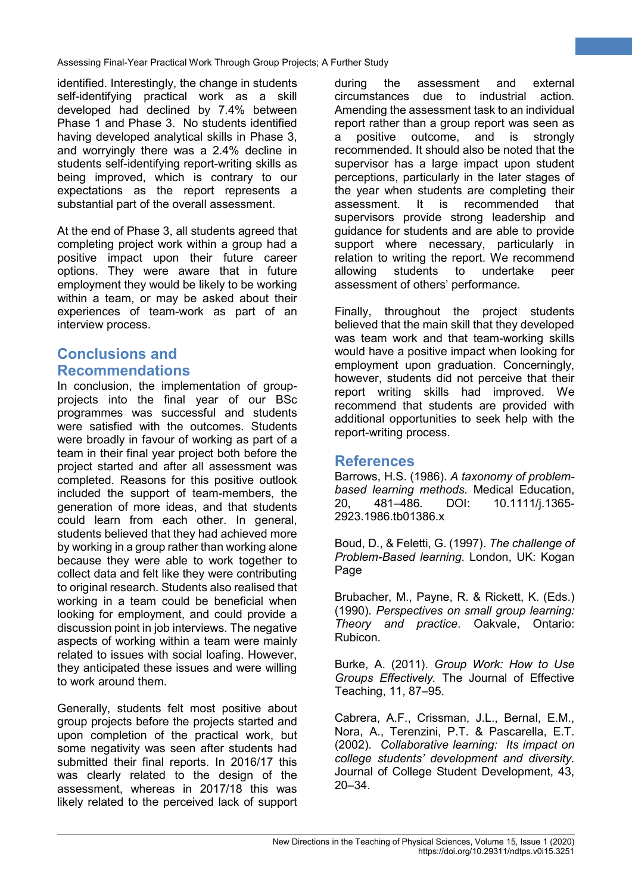identified. Interestingly, the change in students self-identifying practical work as a skill developed had declined by 7.4% between Phase 1 and Phase 3. No students identified having developed analytical skills in Phase 3, and worryingly there was a 2.4% decline in students self-identifying report-writing skills as being improved, which is contrary to our expectations as the report represents a substantial part of the overall assessment.

At the end of Phase 3, all students agreed that completing project work within a group had a positive impact upon their future career options. They were aware that in future employment they would be likely to be working within a team, or may be asked about their experiences of team-work as part of an interview process.

# **Conclusions and Recommendations**

In conclusion, the implementation of groupprojects into the final year of our BSc programmes was successful and students were satisfied with the outcomes. Students were broadly in favour of working as part of a team in their final year project both before the project started and after all assessment was completed. Reasons for this positive outlook included the support of team-members, the generation of more ideas, and that students could learn from each other. In general, students believed that they had achieved more by working in a group rather than working alone because they were able to work together to collect data and felt like they were contributing to original research. Students also realised that working in a team could be beneficial when looking for employment, and could provide a discussion point in job interviews. The negative aspects of working within a team were mainly related to issues with social loafing. However, they anticipated these issues and were willing to work around them.

Generally, students felt most positive about group projects before the projects started and upon completion of the practical work, but some negativity was seen after students had submitted their final reports. In 2016/17 this was clearly related to the design of the assessment, whereas in 2017/18 this was likely related to the perceived lack of support

during the assessment and external circumstances due to industrial action. Amending the assessment task to an individual report rather than a group report was seen as a positive outcome, and is strongly recommended. It should also be noted that the supervisor has a large impact upon student perceptions, particularly in the later stages of the year when students are completing their<br>assessment. It is recommended that recommended that supervisors provide strong leadership and guidance for students and are able to provide support where necessary, particularly in relation to writing the report. We recommend allowing students to undertake peer assessment of others' performance.

**7**

Finally, throughout the project students believed that the main skill that they developed was team work and that team-working skills would have a positive impact when looking for employment upon graduation. Concerningly, however, students did not perceive that their report writing skills had improved. We recommend that students are provided with additional opportunities to seek help with the report-writing process.

### **References**

Barrows, H.S. (1986). *A taxonomy of problembased learning methods*. Medical Education, 20, 481–486. DOI: 10.1111/j.1365- 2923.1986.tb01386.x

Boud, D., & Feletti, G. (1997). *The challenge of Problem-Based learning*. London, UK: Kogan Page

Brubacher, M., Payne, R. & Rickett, K. (Eds.) (1990). *Perspectives on small group learning: Theory and practice*. Oakvale, Ontario: Rubicon.

Burke, A. (2011). *Group Work: How to Use Groups Effectively.* The Journal of Effective Teaching, 11, 87–95.

Cabrera, A.F., Crissman, J.L., Bernal, E.M., Nora, A., Terenzini, P.T. & Pascarella, E.T. (2002). *Collaborative learning: Its impact on college students' development and diversity.*  Journal of College Student Development, 43, 20–34.